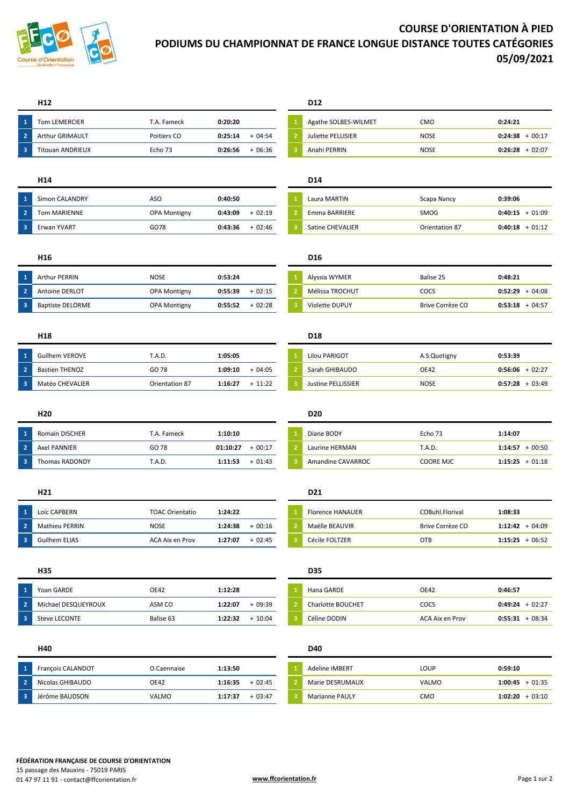

## **COURSE D'ORIENTATION À PIED PODIUMS DU CHAMPIONNAT DE FRANCE LONGUE DISTANCE TOUTES CATÉGORIES 05/09/2021**

## **H12 D12**

| -1  | Tom LEMERCIER           | T.A. Fameck | 0:20:20             | Agathe SOLBES-WILMET | смо         | 0:24:21 |
|-----|-------------------------|-------------|---------------------|----------------------|-------------|---------|
|     | <b>Arthur GRIMAULT</b>  | Poitiers CO | 0:25:14<br>$+04:54$ | Juliette PELLISIER   | <b>NOSE</b> | 0:24:38 |
| - 3 | <b>Fitouan ANDRIEUX</b> | Echo 73     | $+06:36$<br>0:26:56 | Anahi PERRIN         | <b>NOSE</b> | 0:26:28 |

## **H14 D14**

| -1             | Simon CALANDRY      | ASO          | 0:40:50             | Laura MARTIN     | Scapa Nancy    | 0:39:06 |
|----------------|---------------------|--------------|---------------------|------------------|----------------|---------|
| $\overline{2}$ | <b>Tom MARIENNE</b> | OPA Montigny | $+02:19$<br>0:43:09 | Emma BARRIERE    | SMOG           | 0:40:15 |
| -3             | Erwan YVART         | GO78         | 0:43:36<br>$+02:46$ | Satine CHEVALIER | Orientation 87 | 0:40:18 |

| Arthur PERRIN         | NOSE                | 0:53:24             | Alyssia WYMER   | Balise 25        | 0:48:21 |
|-----------------------|---------------------|---------------------|-----------------|------------------|---------|
| <b>Antoine DERLOT</b> | <b>OPA Montigny</b> | 0:55:39<br>$+02:15$ | Mélissa TROCHUT | COCS             | 0:52:29 |
| Baptiste DELORME      | <b>OPA Montigny</b> | $+02:28$<br>0:55:52 | Violette DUPUY  | Brive Corrèze CO | 0:53:18 |

## **H18 D18**

|                         | <b>Guilhem VEROVE</b> | T.A.D.         | 1:05:05              | Lilou PARIGOT      | A.S.Quetigny | 0:53:39 |
|-------------------------|-----------------------|----------------|----------------------|--------------------|--------------|---------|
| $\overline{2}$          | <b>Bastien THENOZ</b> | GO 78          | 1:09:10<br>$+04:05$  | Sarah GHIBAUDO     | <b>OE42</b>  | 0:56:06 |
| $\overline{\mathbf{3}}$ | Matéo CHEVALIER       | Orientation 87 | 1:16:27<br>$+ 11:22$ | Justine PELLISSIER | <b>NOSE</b>  | 0:57:28 |

| - 1   | <b>Romain DISCHER</b> | T.A. Fameck | 1:10:10              | Diane BODY        | Echo 73          | 1:14:07 |
|-------|-----------------------|-------------|----------------------|-------------------|------------------|---------|
| - 2   | Axel PANNIER          | GO 78       | $+00:17$<br>01:10:27 | Laurine HERMAN    | T.A.D.           | 1:14:57 |
| N 3 N | Thomas RADONDY        | T.A.D.      | $+01:43$<br>1:11:53  | Amandine CAVARROC | <b>COORE MJC</b> | 1:15:25 |

| Loïc CAPBERN   | <b>TOAC Orientatio</b> | 1:24:22 |          | <b>Florence HANAUER</b> | COBuhl.Florival  | 1:08:33 |
|----------------|------------------------|---------|----------|-------------------------|------------------|---------|
| Mathieu PERRIN | <b>NOSE</b>            | 1:24:38 | $+00:16$ | Maëlle BEAUVIR          | Brive Corrèze CO | 1:12:42 |
| Guilhem ELIAS  | ACA Aix en Prov        | 1:27:07 | $+02:45$ | Cécile FOLTZER          | <b>OTB</b>       | 1:15:25 |

| Yoan GARDE           | <b>OE42</b> | 1:12:28             | Hana GARDE               | <b>OE42</b>     | 0:46:57 |
|----------------------|-------------|---------------------|--------------------------|-----------------|---------|
| Michael DESQUEYROUX  | ASM CO      | 1:22:07<br>$+09:39$ | <b>Charlotte BOUCHET</b> | COCS            | 0:49:24 |
| <b>Steve LECONTE</b> | Balise 63   | $+10:04$<br>1:22:32 | Céline DODIN             | ACA Aix en Prov | 0:55:31 |

|    | Francois CALANDOT | O.Caennaise | 1:13:50 |          | <b>Adeline IMBERT</b> | <b>LOUP</b>  | 0:59:10 |
|----|-------------------|-------------|---------|----------|-----------------------|--------------|---------|
|    | Nicolas GHIBAUDO  | OE42        | 1:16:35 | $+02:45$ | Marie DESRUMAUX       | <b>VALMO</b> | 1:00:45 |
| -3 | Jérôme BAUDSON    | VALMO       | 1:17:37 | $+03:47$ | <b>Marianne PAULY</b> | смо          | 1:02:20 |

| <b>Tom LEMERCIER</b>    | T.A. Fameck | 0:20:20 |          | Agathe SOLBES-WILMET | CMO         | 0:24:21             |
|-------------------------|-------------|---------|----------|----------------------|-------------|---------------------|
| <b>Arthur GRIMAULT</b>  | Poitiers CO | 0:25:14 | $-04:54$ | Juliette PELLISIER   | <b>NOSE</b> | $+00:17$<br>0:24:38 |
| <b>Titouan ANDRIEUX</b> | Echo 73     | 0:26:56 | $+06:36$ | Anahi PERRIN         | <b>NOSE</b> | $+02:07$<br>0:26:28 |

# Tom MARIENNE OPA Montigny **0:43:09** + 02:19 **2** Emma BARRIERE SMOG **0:40:15** + 01:09 **3** Satine CHEVALIER **0:40:18** + 01:12

## **H16 D16**

| Arthur PERRIN         | NOSE                | 0:53:24 |          | Alyssia WYMER         | Balise 25        | 0:48:21           |
|-----------------------|---------------------|---------|----------|-----------------------|------------------|-------------------|
| <b>Antoine DERLOT</b> | <b>OPA Montigny</b> | 0:55:39 | $+02:15$ | Mélissa TROCHUT       | cocs             | $0:52:29 + 04:08$ |
| Baptiste DELORME      | OPA Montigny        | 0:55:52 | $+02:28$ | <b>Violette DUPUY</b> | Brive Corrèze CO | $0:53:18 + 04:57$ |

| Guilhem VEROVE        | T.A.D.         | 1:05:05 |           | Lilou PARIGOT      | A.S.Quetigny | 0:53:39             |
|-----------------------|----------------|---------|-----------|--------------------|--------------|---------------------|
| <b>Bastien THENOZ</b> | GO 78          | 1:09:10 | $-04:05$  | Sarah GHIBAUDO     | OE42         | 0:56:06<br>$+02:27$ |
| Matéo CHEVALIER       | Orientation 87 | 1:16:27 | $+ 11:22$ | Justine PELLISSIER | <b>NOSE</b>  | $0:57:28 + 03:49$   |

## **H20 D20**

| <b>Romain DISCHER</b> | Г.A. Fameck | 1:10:10              | Diane BODY        | Echo 73          | 1:14:07           |
|-----------------------|-------------|----------------------|-------------------|------------------|-------------------|
| Axel PANNIER          | GO 78       | $+00:17$<br>01:10:27 | Laurine HERMAN    | T.A.D.           | 00:50<br>1:14:57  |
| Thomas RADONDY        | T.A.D.      | $+01:43$<br>1:11:53  | Amandine CAVARROC | <b>COORE MJC</b> | $1:15:25 + 01:18$ |

## **H21 D21**

| Loïc CAPBERN   | <b>TOAC Orientatio</b> | 1:24:22             | <b>Florence HANAUER</b> | COBuhl.Florival  | 1:08:33           |
|----------------|------------------------|---------------------|-------------------------|------------------|-------------------|
| Mathieu PERRIN | <b>NOSE</b>            | $+00:16$<br>1:24:38 | Maëlle BEAUVIR          | Brive Corrèze CO | $1:12:42 + 04:09$ |
| Guilhem ELIAS  | ACA Aix en Prov        | $+02:45$<br>1:27:07 | Cécile FOLTZER          | OTB              | $1:15:25 + 06:52$ |

## **H35 D35**

| Yoan GARDE           | <b>OE42</b> | 1:12:28 |          | Hana GARDE        | OE42            | 0:46:57             |
|----------------------|-------------|---------|----------|-------------------|-----------------|---------------------|
| Michael DESQUEYROUX  | ASM CO      | 1:22:07 | $-09:39$ | Charlotte BOUCHET | COCS            | $-02:27$<br>0:49:24 |
| <b>Steve LECONTE</b> | Balise 63   | 1:22:32 | 10:04    | Céline DODIN      | ACA Aix en Prov | 08:34<br>0:55:31    |

## **H40 D40**

| Francois CALANDOT | O.Caennaise | 1:13:50             | <b>Adeline IMBERT</b> | LOUP         | 0:59:10             |
|-------------------|-------------|---------------------|-----------------------|--------------|---------------------|
| Nicolas GHIBAUDO  | <b>OE42</b> | $+02:45$<br>1:16:35 | Marie DESRUMAUX       | <b>VALMO</b> | $+01:35$<br>1:00:45 |
| Jérôme BAUDSON    | VALMO       | $+03:47$<br>1:17:37 | <b>Marianne PAULY</b> | смо          | $+03:10$<br>1:02:20 |